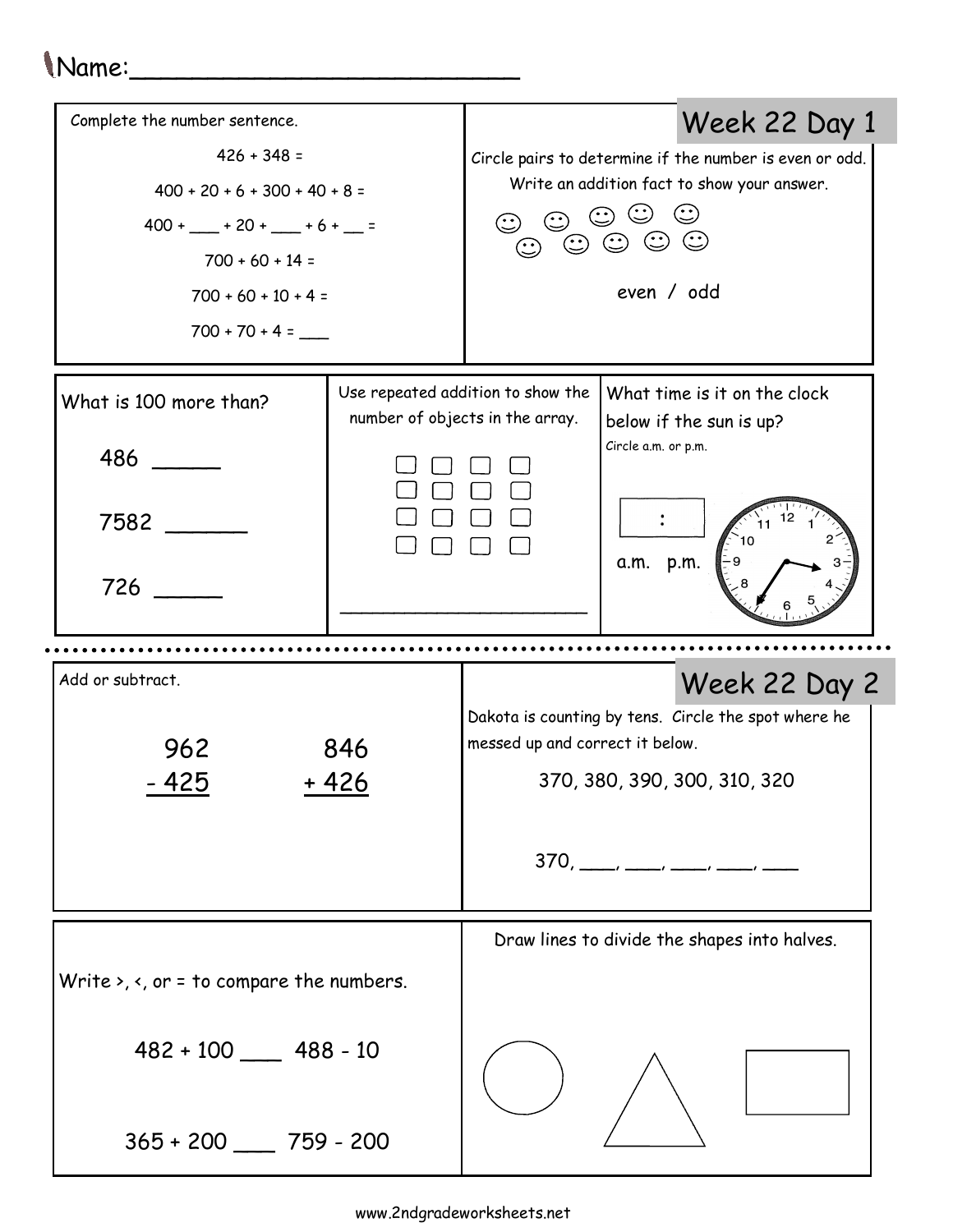## Name:\_\_\_\_\_\_\_\_\_\_\_\_\_\_\_\_\_\_\_\_\_\_\_\_\_

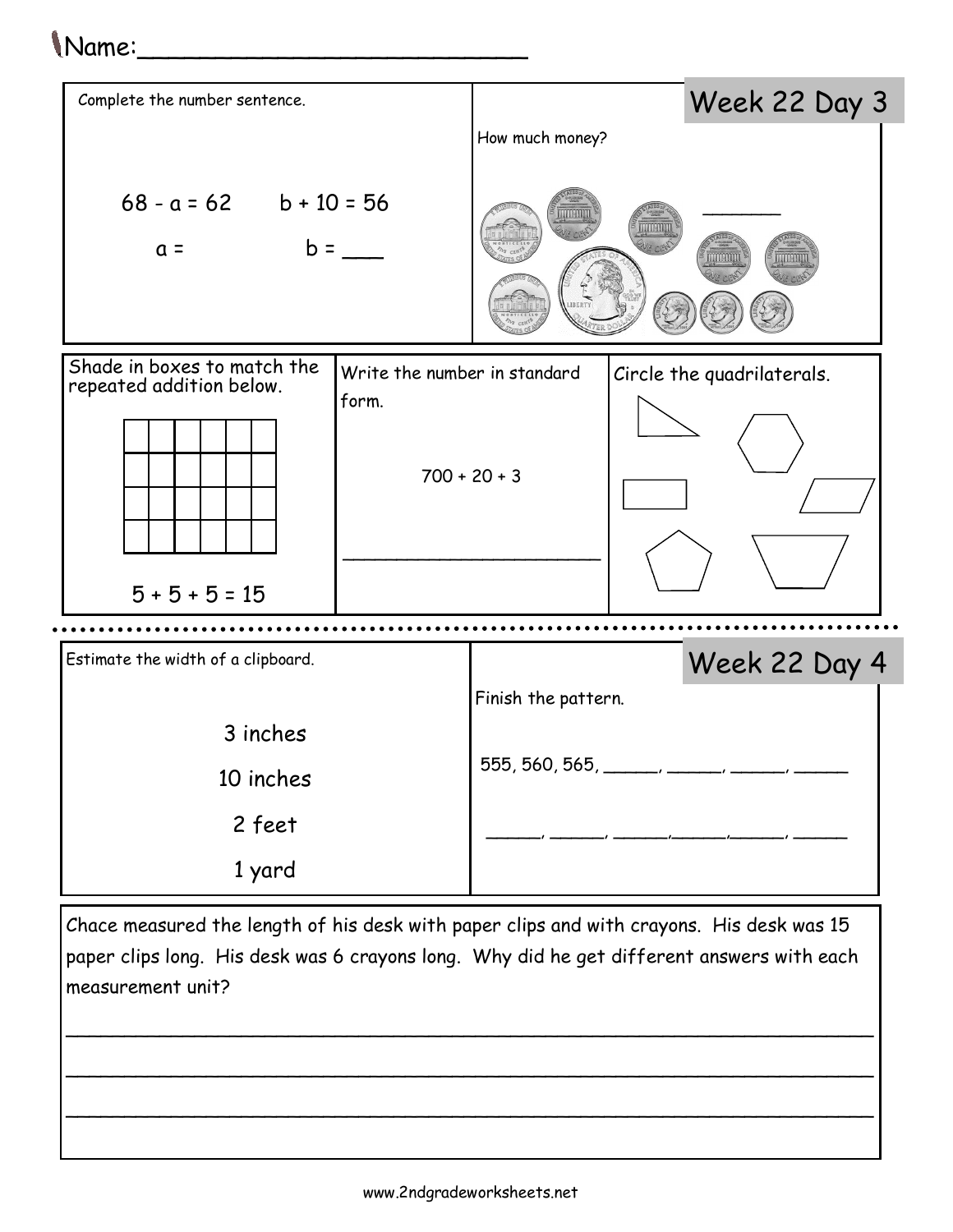## Name:\_\_\_\_\_\_\_\_\_\_\_\_\_\_\_\_\_\_\_\_\_\_\_\_\_



Chace measured the length of his desk with paper clips and with crayons. His desk was 15 paper clips long. His desk was 6 crayons long. Why did he get different answers with each measurement unit?

\_\_\_\_\_\_\_\_\_\_\_\_\_\_\_\_\_\_\_\_\_\_\_\_\_\_\_\_\_\_\_\_\_\_\_\_\_\_\_\_\_\_\_\_\_\_\_\_\_\_\_\_\_\_\_\_\_\_\_\_\_\_\_\_\_\_\_\_\_

\_\_\_\_\_\_\_\_\_\_\_\_\_\_\_\_\_\_\_\_\_\_\_\_\_\_\_\_\_\_\_\_\_\_\_\_\_\_\_\_\_\_\_\_\_\_\_\_\_\_\_\_\_\_\_\_\_\_\_\_\_\_\_\_\_\_\_\_\_

\_\_\_\_\_\_\_\_\_\_\_\_\_\_\_\_\_\_\_\_\_\_\_\_\_\_\_\_\_\_\_\_\_\_\_\_\_\_\_\_\_\_\_\_\_\_\_\_\_\_\_\_\_\_\_\_\_\_\_\_\_\_\_\_\_\_\_\_\_